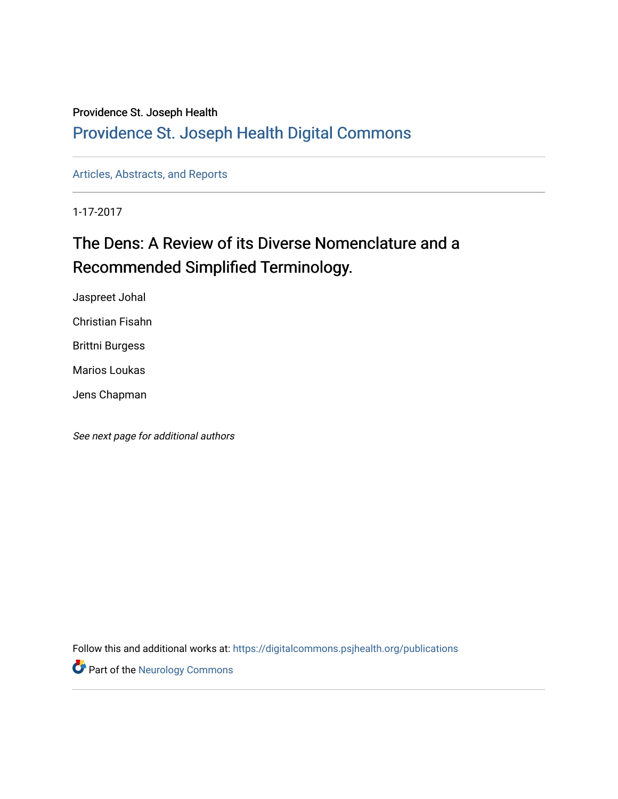#### Providence St. Joseph Health

### [Providence St. Joseph Health Digital Commons](https://digitalcommons.psjhealth.org/)

[Articles, Abstracts, and Reports](https://digitalcommons.psjhealth.org/publications) 

1-17-2017

# The Dens: A Review of its Diverse Nomenclature and a Recommended Simplified Terminology.

Jaspreet Johal

Christian Fisahn

Brittni Burgess

Marios Loukas

Jens Chapman

See next page for additional authors

Follow this and additional works at: [https://digitalcommons.psjhealth.org/publications](https://digitalcommons.psjhealth.org/publications?utm_source=digitalcommons.psjhealth.org%2Fpublications%2F2291&utm_medium=PDF&utm_campaign=PDFCoverPages)

**Part of the [Neurology Commons](http://network.bepress.com/hgg/discipline/692?utm_source=digitalcommons.psjhealth.org%2Fpublications%2F2291&utm_medium=PDF&utm_campaign=PDFCoverPages)**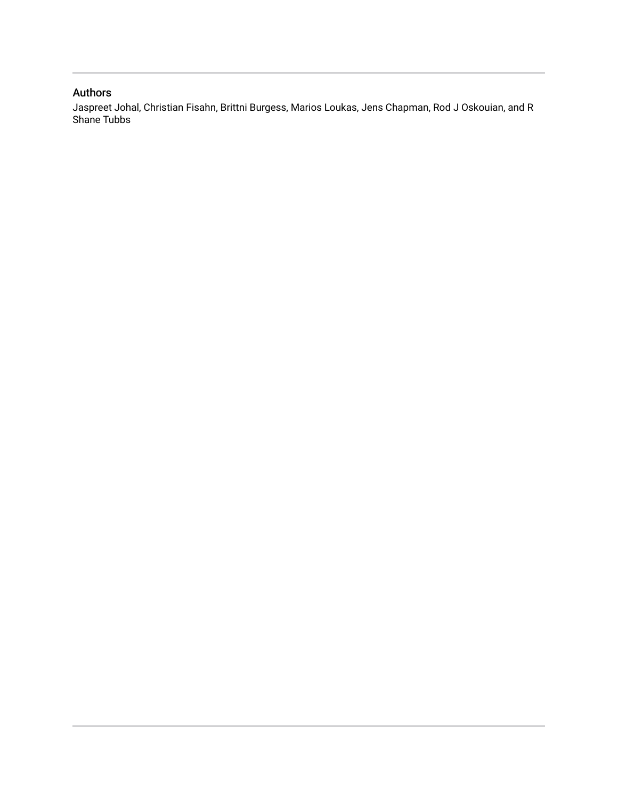#### <span id="page-1-0"></span>Authors

Jaspreet Johal, Christian Fisahn, Brittni Burgess, Marios Loukas, Jens Chapman, Rod J Oskouian, and R Shane Tubbs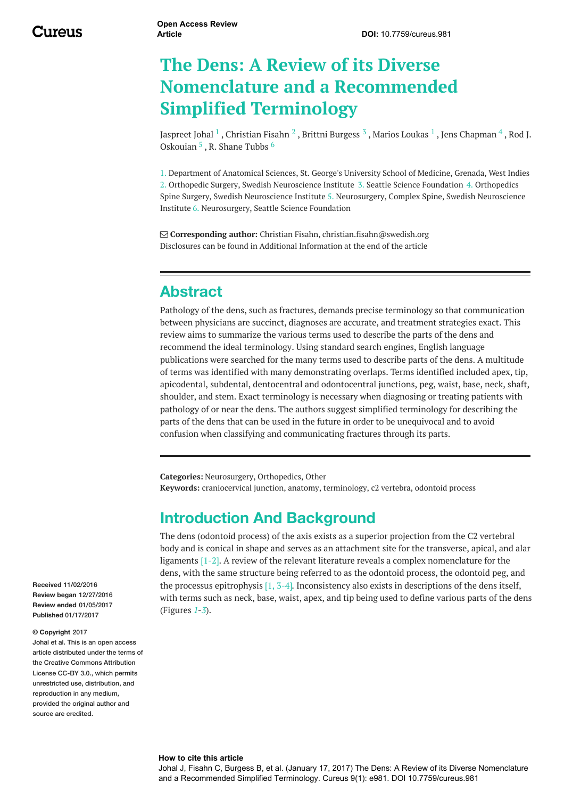# **The Dens: A Review of its Diverse Nomenclature and a Recommended Simplified Terminology**

[Jaspreet](http://www.cureus.com/users/33027-jaspreet-johal) Johal  $^1$  , [Christian](http://www.cureus.com/users/27575-christian-fisahn) Fisahn  $^2$  , Brittni [Burgess](http://www.cureus.com/users/23014-brittni-burgess)  $^3$  , Marios [Loukas](http://www.cureus.com/users/19682-marios-loukas)  $^1$  , Jens [Chapman](http://www.cureus.com/users/18275-jens-chapman)  $^4$  , Rod J. Oskouian <sup>5</sup>, R. [Shane](http://www.cureus.com/users/19677-r-shane-tubbs) Tubbs <sup>6</sup>

1. Department of Anatomical Sciences, St. George's University School of Medicine, Grenada, West Indies 2. Orthopedic Surgery, Swedish Neuroscience Institute 3. Seattle Science Foundation 4. Orthopedics Spine Surgery, Swedish Neuroscience Institute 5. Neurosurgery, Complex Spine, Swedish Neuroscience Institute 6. Neurosurgery, Seattle Science Foundation

 **Corresponding author:** Christian Fisahn, christian.fisahn@swedish.org Disclosures can be found in Additional Information at the end of the article

### **Abstract**

Pathology of the dens, such as fractures, demands precise terminology so that communication between physicians are succinct, diagnoses are accurate, and treatment strategies exact. This review aims to summarize the various terms used to describe the parts of the dens and recommend the ideal terminology. Using standard search engines, English language publications were searched for the many terms used to describe parts of the dens. A multitude of terms was identified with many demonstrating overlaps. Terms identified included apex, tip, apicodental, subdental, dentocentral and odontocentral junctions, peg, waist, base, neck, shaft, shoulder, and stem. Exact terminology is necessary when diagnosing or treating patients with pathology of or near the dens. The authors suggest simplified terminology for describing the parts of the dens that can be used in the future in order to be unequivocal and to avoid confusion when classifying and communicating fractures through its parts.

<span id="page-2-0"></span>**Categories:** Neurosurgery, Orthopedics, Other **Keywords:** craniocervical junction, anatomy, terminology, c2 vertebra, odontoid process

### **Introduction And Background**

The dens (odontoid process) of the axis exists as a superior projection from the C2 vertebral body and is conical in shape and serves as an attachment site for the transverse, apical, and alar ligaments [1-2]. A review of the relevant literature reveals a complex nomenclature for the dens, with the same structure being referred to as the odontoid process, the odontoid peg, and the processus epitrophysis  $[1, 3-4]$ . Inconsistency also exists in descriptions of the dens itself, with terms such as neck, base, waist, apex, and tip being used to define various parts of the dens (Figures *[1](#page-1-0)*-*[3](#page-2-0)*).

**Received** 11/02/2016 **Review began** 12/27/2016 **Review ended** 01/05/2017 **Published** 01/17/2017

#### **© Copyright** 2017

Johal et al. This is an open access article distributed under the terms of the Creative Commons Attribution License CC-BY 3.0., which permits unrestricted use, distribution, and reproduction in any medium, provided the original author and source are credited.

#### **How to cite this article**

Johal J, Fisahn C, Burgess B, et al. (January 17, 2017) The Dens: A Review of its Diverse Nomenclature and a Recommended Simplified Terminology. Cureus 9(1): e981. DOI 10.7759/cureus.981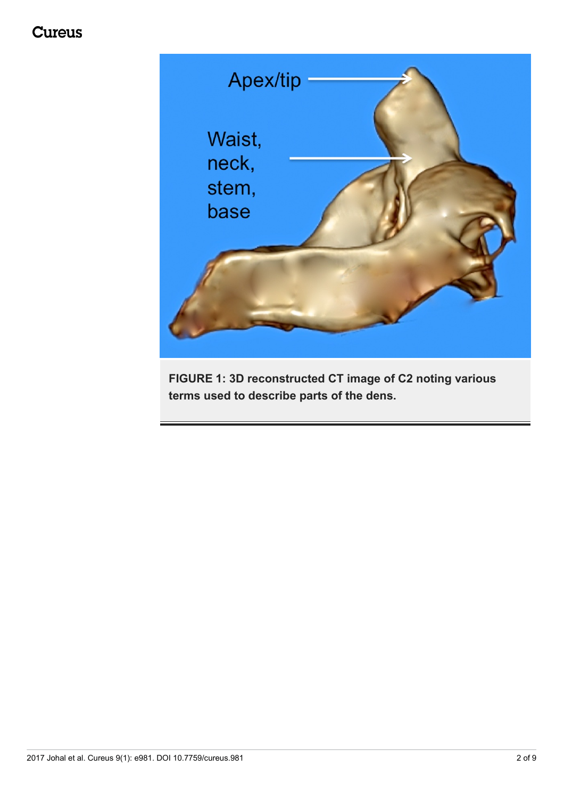## **Cureus**



<span id="page-3-0"></span>**FIGURE 1: 3D reconstructed CT image of C2 noting various terms used to describe parts of the dens.**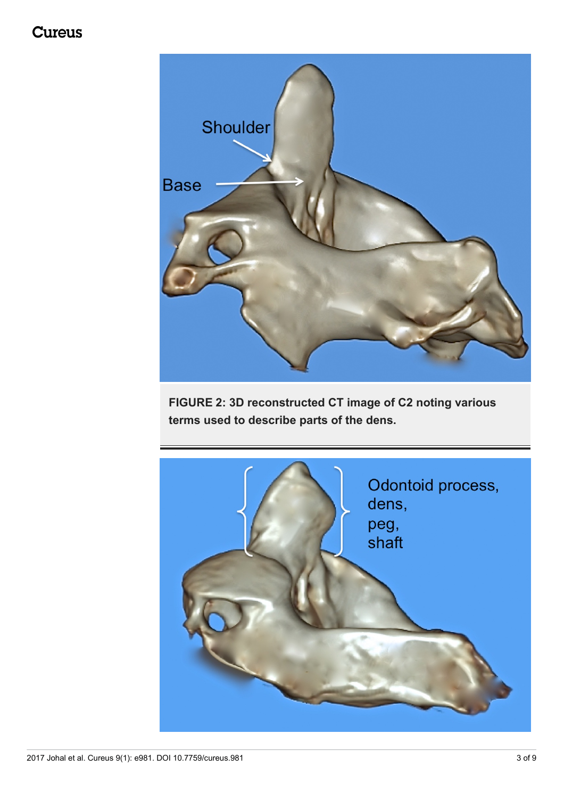## **Cureus**



<span id="page-4-0"></span>**FIGURE 2: 3D reconstructed CT image of C2 noting various terms used to describe parts of the dens.**

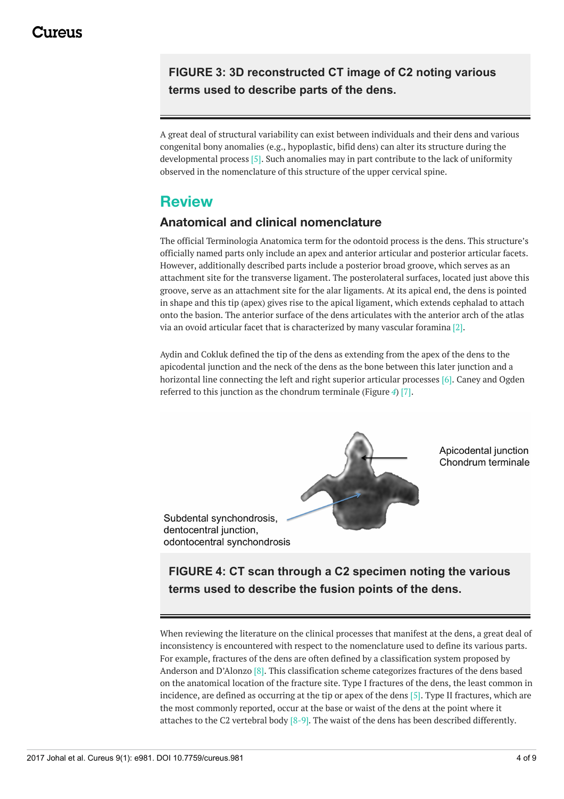### **FIGURE 3: 3D reconstructed CT image of C2 noting various terms used to describe parts of the dens.**

A great deal of structural variability can exist between individuals and their dens and various congenital bony anomalies (e.g., hypoplastic, bifid dens) can alter its structure during the developmental process [5]. Such anomalies may in part contribute to the lack of uniformity observed in the nomenclature of this structure of the upper cervical spine.

### **Review**

### **Anatomical and clinical nomenclature**

The official Terminologia Anatomica term for the odontoid process is the dens. This structure's officially named parts only include an apex and anterior articular and posterior articular facets. However, additionally described parts include a posterior broad groove, which serves as an attachment site for the transverse ligament. The posterolateral surfaces, located just above this groove, serve as an attachment site for the alar ligaments. At its apical end, the dens is pointed in shape and this tip (apex) gives rise to the apical ligament, which extends cephalad to attach onto the basion. The anterior surface of the dens articulates with the anterior arch of the atlas via an ovoid articular facet that is characterized by many vascular foramina [2].

Aydin and Cokluk defined the tip of the dens as extending from the apex of the dens to the apicodental junction and the neck of the dens as the bone between this later junction and a horizontal line connecting the left and right superior articular processes [6]. Caney and Ogden referred to this junction as the chondrum terminale (Figure *[4](#page-3-0)*) [7].



Apicodental junction Chondrum terminale

Subdental synchondrosis, dentocentral junction. odontocentral synchondrosis

### **FIGURE 4: CT scan through a C2 specimen noting the various terms used to describe the fusion points of the dens.**

When reviewing the literature on the clinical processes that manifest at the dens, a great deal of inconsistency is encountered with respect to the nomenclature used to define its various parts. For example, fractures of the dens are often defined by a classification system proposed by Anderson and D'Alonzo [8]. This classification scheme categorizes fractures of the dens based on the anatomical location of the fracture site. Type I fractures of the dens, the least common in incidence, are defined as occurring at the tip or apex of the dens [5]. Type II fractures, which are the most commonly reported, occur at the base or waist of the dens at the point where it attaches to the C2 vertebral body  $[8-9]$ . The waist of the dens has been described differently.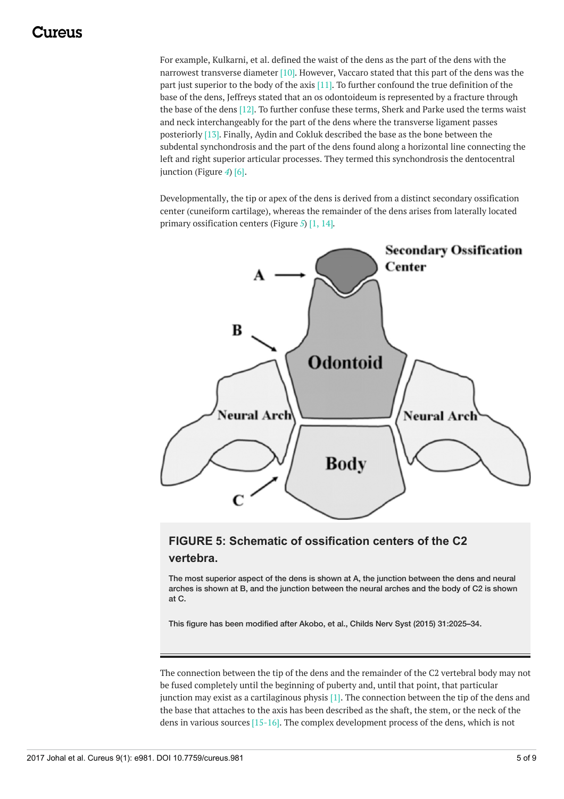### 117A119

<span id="page-6-0"></span>For example, Kulkarni, et al. defined the waist of the dens as the part of the dens with the narrowest transverse diameter [10]. However, Vaccaro stated that this part of the dens was the part just superior to the body of the axis [11]. To further confound the true definition of the base of the dens, Jeffreys stated that an os odontoideum is represented by a fracture through the base of the dens [12]. To further confuse these terms, Sherk and Parke used the terms waist and neck interchangeably for the part of the dens where the transverse ligament passes posteriorly [13]. Finally, Aydin and Cokluk described the base as the bone between the subdental synchondrosis and the part of the dens found along a horizontal line connecting the left and right superior articular processes. They termed this synchondrosis the dentocentral junction (Figure *[4](#page-3-0)*) [6].

Developmentally, the tip or apex of the dens is derived from a distinct secondary ossification center (cuneiform cartilage), whereas the remainder of the dens arises from laterally located primary ossification centers (Figure *[5](#page-4-0)*) [1, 14].



### **FIGURE 5: Schematic of ossification centers of the C2 vertebra.**

The most superior aspect of the dens is shown at A, the junction between the dens and neural arches is shown at B, and the junction between the neural arches and the body of C2 is shown at C.

This figure has been modified after Akobo, et al., Childs Nerv Syst (2015) 31:2025–34.

The connection between the tip of the dens and the remainder of the C2 vertebral body may not be fused completely until the beginning of puberty and, until that point, that particular junction may exist as a cartilaginous physis  $[1]$ . The connection between the tip of the dens and the base that attaches to the axis has been described as the shaft, the stem, or the neck of the dens in various sources [15-16]. The complex development process of the dens, which is not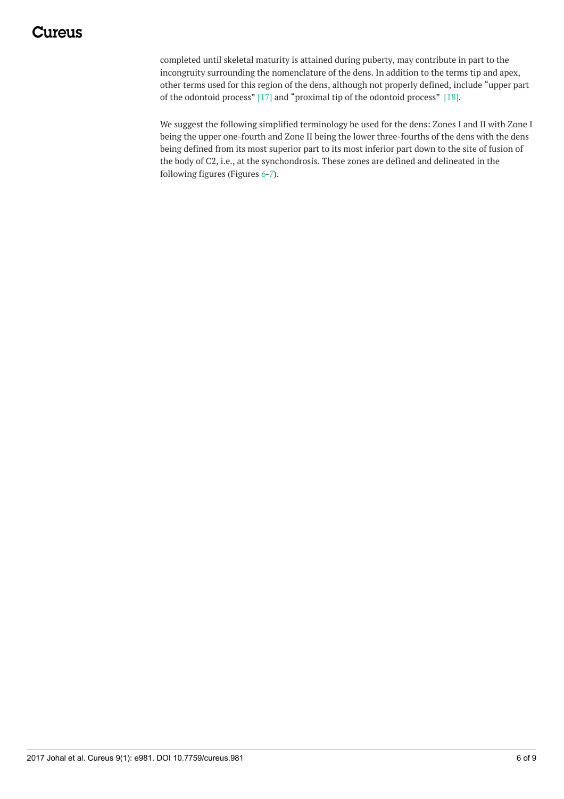## Iureus

<span id="page-7-0"></span>completed until skeletal maturity is attained during puberty, may contribute in part to the incongruity surrounding the nomenclature of the dens. In addition to the terms tip and apex, other terms used for this region of the dens, although not properly defined, include "upper part of the odontoid process" [17] and "proximal tip of the odontoid process" [18].

We suggest the following simplified terminology be used for the dens: Zones I and II with Zone I being the upper one-fourth and Zone II being the lower three-fourths of the dens with the dens being defined from its most superior part to its most inferior part down to the site of fusion of the body of C2, i.e., at the synchondrosis. These zones are defined and delineated in the following figures (Figures *[6](#page-6-0)*-*[7](#page-7-0)*).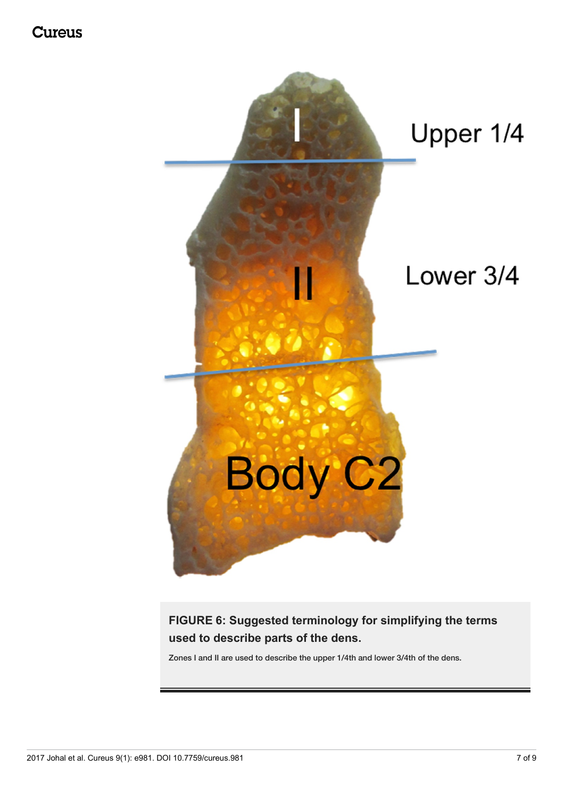

**FIGURE 6: Suggested terminology for simplifying the terms used to describe parts of the dens.**

Zones I and II are used to describe the upper 1/4th and lower 3/4th of the dens.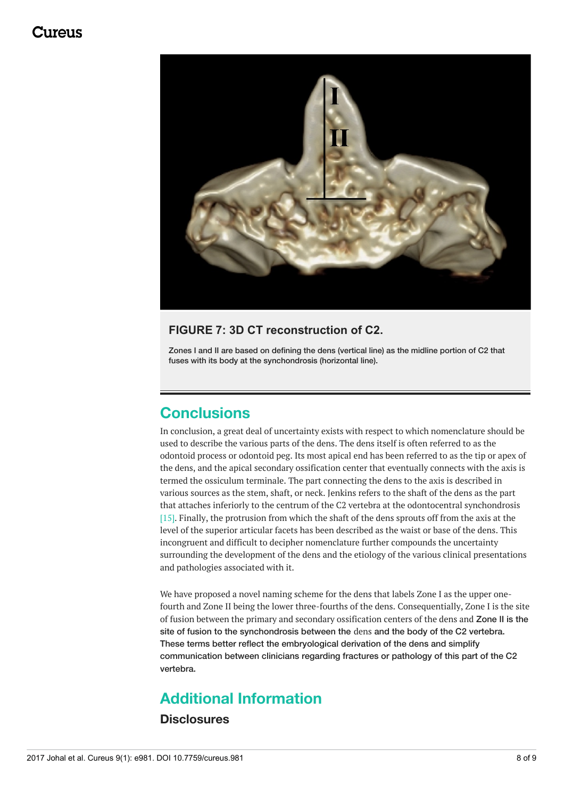### 117A119



#### **FIGURE 7: 3D CT reconstruction of C2.**

Zones I and II are based on defining the dens (vertical line) as the midline portion of C2 that fuses with its body at the synchondrosis (horizontal line).

### **Conclusions**

In conclusion, a great deal of uncertainty exists with respect to which nomenclature should be used to describe the various parts of the dens. The dens itself is often referred to as the odontoid process or odontoid peg. Its most apical end has been referred to as the tip or apex of the dens, and the apical secondary ossification center that eventually connects with the axis is termed the ossiculum terminale. The part connecting the dens to the axis is described in various sources as the stem, shaft, or neck. Jenkins refers to the shaft of the dens as the part that attaches inferiorly to the centrum of the C2 vertebra at the odontocentral synchondrosis [15]. Finally, the protrusion from which the shaft of the dens sprouts off from the axis at the level of the superior articular facets has been described as the waist or base of the dens. This incongruent and difficult to decipher nomenclature further compounds the uncertainty surrounding the development of the dens and the etiology of the various clinical presentations and pathologies associated with it.

We have proposed a novel naming scheme for the dens that labels Zone I as the upper onefourth and Zone II being the lower three-fourths of the dens. Consequentially, Zone I is the site of fusion between the primary and secondary ossification centers of the dens and Zone II is the site of fusion to the synchondrosis between the dens and the body of the C2 vertebra. These terms better reflect the embryological derivation of the dens and simplify communication between clinicians regarding fractures or pathology of this part of the C2 vertebra.

## **Additional Information**

### **Disclosures**